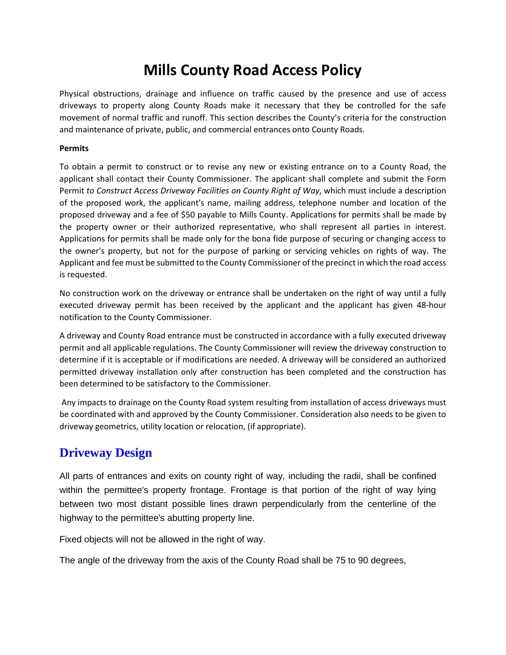# **Mills County Road Access Policy**

Physical obstructions, drainage and influence on traffic caused by the presence and use of access driveways to property along County Roads make it necessary that they be controlled for the safe movement of normal traffic and runoff. This section describes the County's criteria for the construction and maintenance of private, public, and commercial entrances onto County Roads.

#### **Permits**

To obtain a permit to construct or to revise any new or existing entrance on to a County Road, the applicant shall contact their County Commissioner. The applicant shall complete and submit the Form Permit *to Construct Access Driveway Facilities on County Right of Way*, which must include a description of the proposed work, the applicant's name, mailing address, telephone number and location of the proposed driveway and a fee of \$50 payable to Mills County. Applications for permits shall be made by the property owner or their authorized representative, who shall represent all parties in interest. Applications for permits shall be made only for the bona fide purpose of securing or changing access to the owner's property, but not for the purpose of parking or servicing vehicles on rights of way. The Applicant and fee must be submitted to the County Commissioner of the precinct in which the road access is requested.

No construction work on the driveway or entrance shall be undertaken on the right of way until a fully executed driveway permit has been received by the applicant and the applicant has given 48-hour notification to the County Commissioner.

A driveway and County Road entrance must be constructed in accordance with a fully executed driveway permit and all applicable regulations. The County Commissioner will review the driveway construction to determine if it is acceptable or if modifications are needed. A driveway will be considered an authorized permitted driveway installation only after construction has been completed and the construction has been determined to be satisfactory to the Commissioner.

Any impacts to drainage on the County Road system resulting from installation of access driveways must be coordinated with and approved by the County Commissioner. Consideration also needs to be given to driveway geometrics, utility location or relocation, (if appropriate).

# **Driveway Design**

All parts of entrances and exits on county right of way, including the radii, shall be confined within the permittee's property frontage. Frontage is that portion of the right of way lying between two most distant possible lines drawn perpendicularly from the centerline of the highway to the permittee's abutting property line.

Fixed objects will not be allowed in the right of way.

The angle of the driveway from the axis of the County Road shall be 75 to 90 degrees,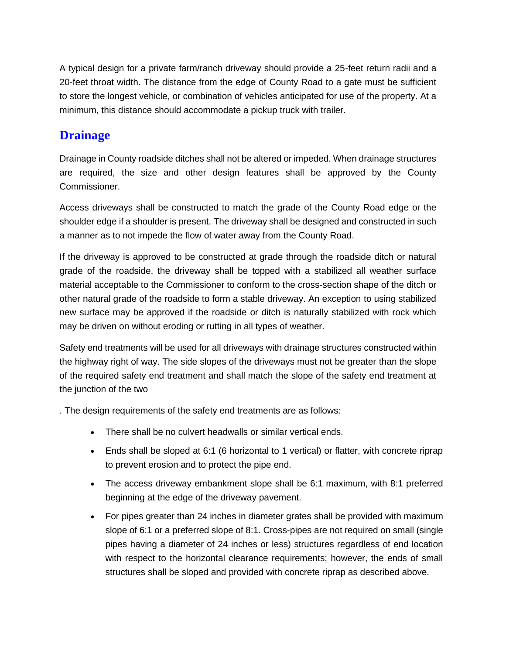A typical design for a private farm/ranch driveway should provide a 25-feet return radii and a 20-feet throat width. The distance from the edge of County Road to a gate must be sufficient to store the longest vehicle, or combination of vehicles anticipated for use of the property. At a minimum, this distance should accommodate a pickup truck with trailer.

# **Drainage**

Drainage in County roadside ditches shall not be altered or impeded. When drainage structures are required, the size and other design features shall be approved by the County Commissioner.

Access driveways shall be constructed to match the grade of the County Road edge or the shoulder edge if a shoulder is present. The driveway shall be designed and constructed in such a manner as to not impede the flow of water away from the County Road.

If the driveway is approved to be constructed at grade through the roadside ditch or natural grade of the roadside, the driveway shall be topped with a stabilized all weather surface material acceptable to the Commissioner to conform to the cross-section shape of the ditch or other natural grade of the roadside to form a stable driveway. An exception to using stabilized new surface may be approved if the roadside or ditch is naturally stabilized with rock which may be driven on without eroding or rutting in all types of weather.

Safety end treatments will be used for all driveways with drainage structures constructed within the highway right of way. The side slopes of the driveways must not be greater than the slope of the required safety end treatment and shall match the slope of the safety end treatment at the junction of the two

. The design requirements of the safety end treatments are as follows:

- There shall be no culvert headwalls or similar vertical ends.
- Ends shall be sloped at 6:1 (6 horizontal to 1 vertical) or flatter, with concrete riprap to prevent erosion and to protect the pipe end.
- The access driveway embankment slope shall be 6:1 maximum, with 8:1 preferred beginning at the edge of the driveway pavement.
- For pipes greater than 24 inches in diameter grates shall be provided with maximum slope of 6:1 or a preferred slope of 8:1. Cross-pipes are not required on small (single pipes having a diameter of 24 inches or less) structures regardless of end location with respect to the horizontal clearance requirements; however, the ends of small structures shall be sloped and provided with concrete riprap as described above.